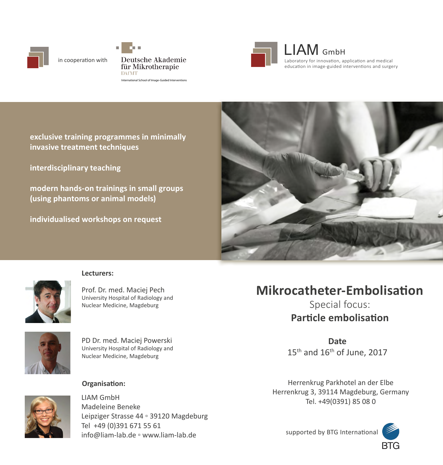

in cooperation with

Deutsche Akademie für Mikrotherapie **DAfMT** International School of Image-Guided Interventions



LIAM GmbH Laboratory for innovation, application and medical education in image-guided interventions and surgery

**exclusive training programmes in minimally invasive treatment techniques**

**interdisciplinary teaching**

**modern hands-on trainings in small groups (using phantoms or animal models)**

**individualised workshops on request**





#### **Lecturers:**

Prof. Dr. med. Maciej Pech University Hospital of Radiology and Nuclear Medicine, Magdeburg



PD Dr. med. Maciej Powerski University Hospital of Radiology and Nuclear Medicine, Magdeburg



LIAM GmbH Madeleine Beneke Leipziger Strasse 44 ▫ 39120 Magdeburg Tel +49 (0)391 671 55 61 info@liam-lab.de ▫ www.liam-lab.de

# **Mikrocatheter-Embolisation**

Special focus: **Particle embolisation**

**Date**   $15<sup>th</sup>$  and  $16<sup>th</sup>$  of June, 2017

**Organisation: Compared Accord 2012 Herrenkrug Parkhotel an der Elbe** Herrenkrug 3, 39114 Magdeburg, Germany Tel. +49(0391) 85 08 0

supported by BTG International